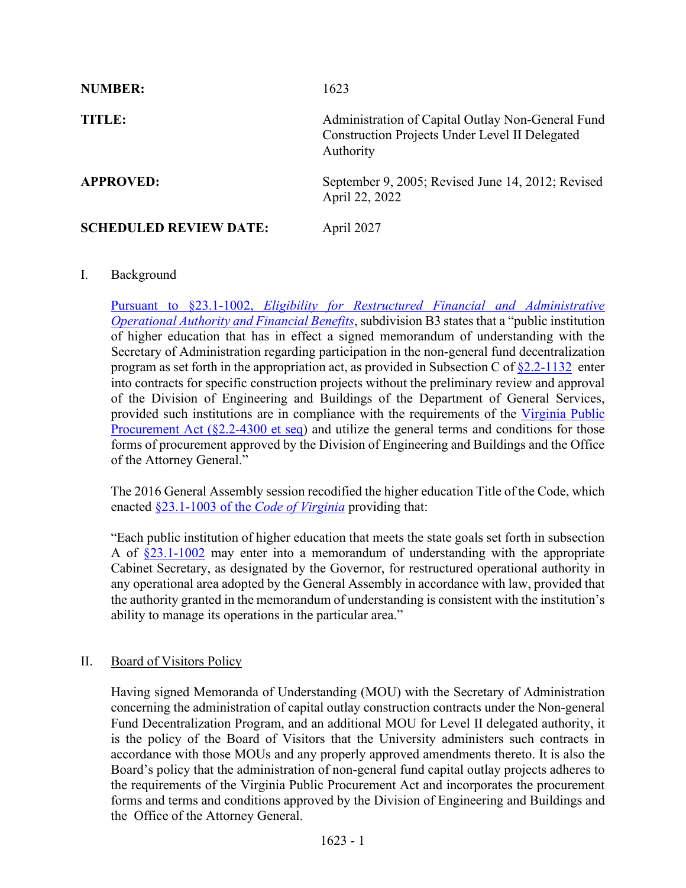| <b>NUMBER:</b>                | 1623                                                                                                                    |
|-------------------------------|-------------------------------------------------------------------------------------------------------------------------|
| TITLE:                        | Administration of Capital Outlay Non-General Fund<br><b>Construction Projects Under Level II Delegated</b><br>Authority |
| <b>APPROVED:</b>              | September 9, 2005; Revised June 14, 2012; Revised<br>April 22, 2022                                                     |
| <b>SCHEDULED REVIEW DATE:</b> | April 2027                                                                                                              |

## I. Background

Pursuant to §23.1-1002, *[Eligibility for Restructured Financial and Administrative](https://law.lis.virginia.gov/vacode/23.1-1002/)  Operational Authority [and Financial Benefits](https://law.lis.virginia.gov/vacode/23.1-1002/)*, subdivision B3 states that a "public institution of higher education that has in effect a signed memorandum of understanding with the Secretary of Administration regarding participation in the non-general fund decentralization program as set forth in the appropriation act, as provided in Subsection C of  $\S2.2$ -1132 enter into contracts for specific construction projects without the preliminary review and approval of the Division of Engineering and Buildings of the Department of General Services, provided such institutions are in compliance with the requirements of the [Virginia Public](https://law.lis.virginia.gov/vacode/title2.2/chapter43/)  Procurement Act  $(\S2.2-4300$  et seq) and utilize the general terms and conditions for those forms of procurement approved by the Division of Engineering and Buildings and the Office of the Attorney General."

The 2016 General Assembly session recodified the higher education Title of the Code, which enacted §23.1-1003 of the *[Code of Virginia](https://law.lis.virginia.gov/vacode/23.1-1002/)* providing that:

"Each public institution of higher education that meets the state goals set forth in subsection A of  $\S 23.1-1002$  may enter into a memorandum of understanding with the appropriate Cabinet Secretary, as designated by the Governor, for restructured operational authority in any operational area adopted by the General Assembly in accordance with law, provided that the authority granted in the memorandum of understanding is consistent with the institution's ability to manage its operations in the particular area."

## II. Board of Visitors Policy

Having signed Memoranda of Understanding (MOU) with the Secretary of Administration concerning the administration of capital outlay construction contracts under the Non-general Fund Decentralization Program, and an additional MOU for Level II delegated authority, it is the policy of the Board of Visitors that the University administers such contracts in accordance with those MOUs and any properly approved amendments thereto. It is also the Board's policy that the administration of non-general fund capital outlay projects adheres to the requirements of the Virginia Public Procurement Act and incorporates the procurement forms and terms and conditions approved by the Division of Engineering and Buildings and the Office of the Attorney General.